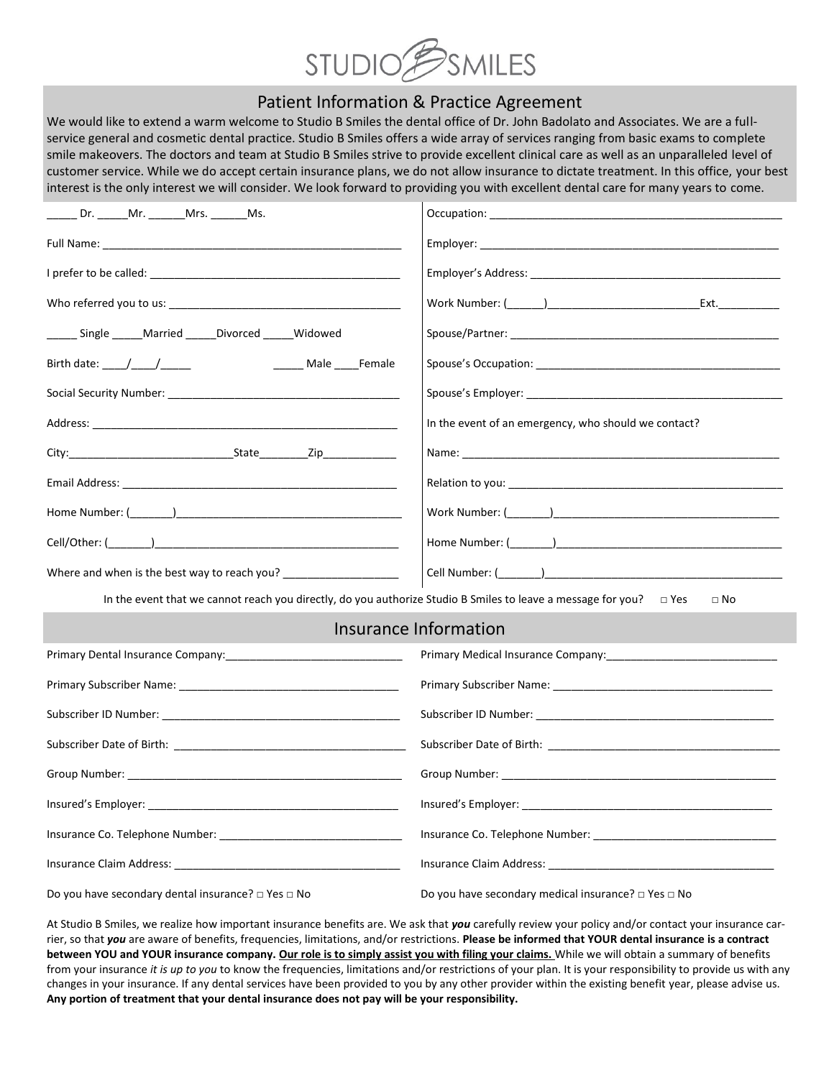

# Patient Information & Practice Agreement

We would like to extend a warm welcome to Studio B Smiles the dental office of Dr. John Badolato and Associates. We are a fullservice general and cosmetic dental practice. Studio B Smiles offers a wide array of services ranging from basic exams to complete smile makeovers. The doctors and team at Studio B Smiles strive to provide excellent clinical care as well as an unparalleled level of customer service. While we do accept certain insurance plans, we do not allow insurance to dictate treatment. In this office, your best interest is the only interest we will consider. We look forward to providing you with excellent dental care for many years to come.

| ______ Dr. ______Mr. _______Mrs. _______Ms.                                                                                                                                                                                    |                                                                                                                                                                                                                                      |
|--------------------------------------------------------------------------------------------------------------------------------------------------------------------------------------------------------------------------------|--------------------------------------------------------------------------------------------------------------------------------------------------------------------------------------------------------------------------------------|
|                                                                                                                                                                                                                                |                                                                                                                                                                                                                                      |
|                                                                                                                                                                                                                                |                                                                                                                                                                                                                                      |
|                                                                                                                                                                                                                                |                                                                                                                                                                                                                                      |
| _______ Single ______ Married ______ Divorced ______ Widowed                                                                                                                                                                   |                                                                                                                                                                                                                                      |
| Birth date: $\frac{1}{\sqrt{1-\frac{1}{2}}}\frac{1}{\sqrt{1-\frac{1}{2}}\sqrt{1-\frac{1}{2}}\sqrt{1-\frac{1}{2}}$<br>______ Male _____Female                                                                                   |                                                                                                                                                                                                                                      |
|                                                                                                                                                                                                                                |                                                                                                                                                                                                                                      |
|                                                                                                                                                                                                                                | In the event of an emergency, who should we contact?                                                                                                                                                                                 |
| City: City: City: City: City: City: City: City: City: City: City: City: City: City: City: City: City: City: City: City: City: City: City: City: City: City: City: City: City: City: City: City: City: City: City: City: City:  | Name: when the contract of the contract of the contract of the contract of the contract of the contract of the contract of the contract of the contract of the contract of the contract of the contract of the contract of the       |
| Email Address: with a state of the control of the control of the control of the control of the control of the control of the control of the control of the control of the control of the control of the control of the control | Relation to you: the contract of the contract of the contract of the contract of the contract of the contract of the contract of the contract of the contract of the contract of the contract of the contract of the contract        |
|                                                                                                                                                                                                                                |                                                                                                                                                                                                                                      |
|                                                                                                                                                                                                                                |                                                                                                                                                                                                                                      |
| Where and when is the best way to reach you? ___________________________________                                                                                                                                               | Cell Number: ( <u>with and the contract of the contract of the contract of the contract of the contract of the contract of the contract of the contract of the contract of the contract of the contract of the contract of the c</u> |
| In the event that we cannot reach you directly, do you authorize Studio B Smiles to leave a message for you? $\Box$ Yes                                                                                                        | $\Box$ No                                                                                                                                                                                                                            |
|                                                                                                                                                                                                                                | Insurance Information                                                                                                                                                                                                                |
|                                                                                                                                                                                                                                |                                                                                                                                                                                                                                      |
|                                                                                                                                                                                                                                |                                                                                                                                                                                                                                      |
|                                                                                                                                                                                                                                |                                                                                                                                                                                                                                      |
|                                                                                                                                                                                                                                |                                                                                                                                                                                                                                      |
|                                                                                                                                                                                                                                |                                                                                                                                                                                                                                      |
|                                                                                                                                                                                                                                |                                                                                                                                                                                                                                      |
|                                                                                                                                                                                                                                |                                                                                                                                                                                                                                      |
|                                                                                                                                                                                                                                |                                                                                                                                                                                                                                      |
| Do you have secondary dental insurance? $\square$ Yes $\square$ No                                                                                                                                                             | Do you have secondary medical insurance? $\square$ Yes $\square$ No                                                                                                                                                                  |

At Studio B Smiles, we realize how important insurance benefits are. We ask that *you* carefully review your policy and/or contact your insurance carrier, so that *you* are aware of benefits, frequencies, limitations, and/or restrictions. **Please be informed that YOUR dental insurance is a contract**  between YOU and YOUR insurance company. Our role is to simply assist you with filing your claims. While we will obtain a summary of benefits from your insurance *it is up to you* to know the frequencies, limitations and/or restrictions of your plan. It is your responsibility to provide us with any changes in your insurance. If any dental services have been provided to you by any other provider within the existing benefit year, please advise us. **Any portion of treatment that your dental insurance does not pay will be your responsibility.**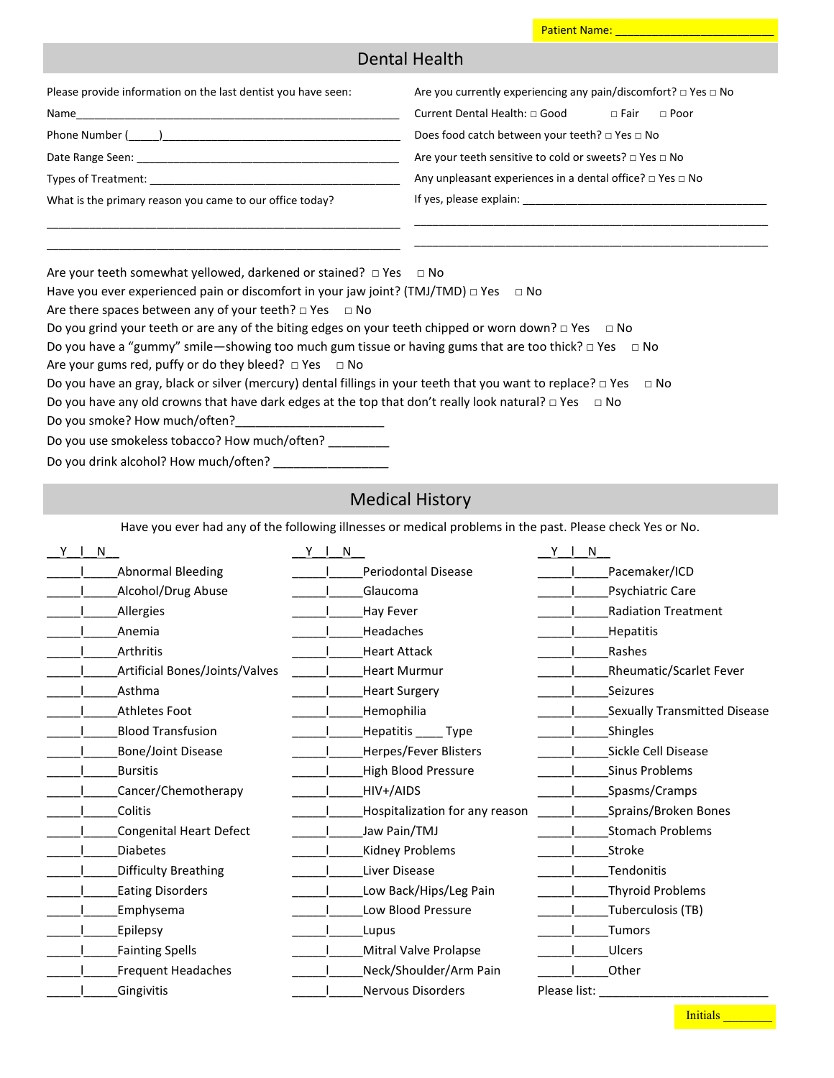### Patient Name: \_

## Dental Health

| Please provide information on the last dentist you have seen:                        | Are you currently experiencing any pain/discomfort? $\Box$ Yes $\Box$ No |  |  |  |  |
|--------------------------------------------------------------------------------------|--------------------------------------------------------------------------|--|--|--|--|
| Name                                                                                 | Current Dental Health: □ Good<br>$\sqcap$ Fair<br>$\Box$ Poor            |  |  |  |  |
| Phone Number ( )<br>Does food catch between your teeth? $\Box$ Yes $\Box$ No         |                                                                          |  |  |  |  |
| Are your teeth sensitive to cold or sweets? $\Box$ Yes $\Box$ No<br>Date Range Seen: |                                                                          |  |  |  |  |
| Types of Treatment:                                                                  | Any unpleasant experiences in a dental office? $\Box$ Yes $\Box$ No      |  |  |  |  |
| What is the primary reason you came to our office today?                             | If yes, please explain:                                                  |  |  |  |  |
|                                                                                      |                                                                          |  |  |  |  |
|                                                                                      |                                                                          |  |  |  |  |

| Are your teeth somewhat yellowed, darkened or stained? $\Box$ Yes $\Box$ No |  |
|-----------------------------------------------------------------------------|--|
|-----------------------------------------------------------------------------|--|

|  | Have you ever experienced pain or discomfort in your jaw joint? (TMJ/TMD) $\Box$ Yes $\Box$ No |  |
|--|------------------------------------------------------------------------------------------------|--|
|--|------------------------------------------------------------------------------------------------|--|

Are there spaces between any of your teeth?  $\square$  Yes  $\square$  No

| Do you grind your teeth or are any of the biting edges on your teeth chipped or worn down? $\Box$ Yes $\Box$ No |  |
|-----------------------------------------------------------------------------------------------------------------|--|
|-----------------------------------------------------------------------------------------------------------------|--|

| Do you have a "gummy" smile—showing too much gum tissue or having gums that are too thick? $\Box$ Yes $\Box$ No |  |  |
|-----------------------------------------------------------------------------------------------------------------|--|--|
|-----------------------------------------------------------------------------------------------------------------|--|--|

Are your gums red, puffy or do they bleed?  $\Box$  Yes  $\Box$  No

| Do you have an gray, black or silver (mercury) dental fillings in your teeth that you want to replace? $\Box$ Yes $\Box$ No |
|-----------------------------------------------------------------------------------------------------------------------------|
|-----------------------------------------------------------------------------------------------------------------------------|

Do you have any old crowns that have dark edges at the top that don't really look natural? □ Yes □ No

Do you smoke? How much/often?

Do you use smokeless tobacco? How much/often? \_\_\_\_\_\_\_\_\_

| Do you drink alcohol? How much/often? |  |
|---------------------------------------|--|
|---------------------------------------|--|

# Medical History

Have you ever had any of the following illnesses or medical problems in the past. Please check Yes or No.

| Υ | N |                                | $Y \parallel$<br>N |                                | Y I<br>N     |                              |
|---|---|--------------------------------|--------------------|--------------------------------|--------------|------------------------------|
|   |   | <b>Abnormal Bleeding</b>       |                    | Periodontal Disease            |              | Pacemaker/ICD                |
|   |   | Alcohol/Drug Abuse             |                    | Glaucoma                       |              | Psychiatric Care             |
|   |   | <b>Allergies</b>               |                    | Hay Fever                      |              | <b>Radiation Treatment</b>   |
|   |   | Anemia                         |                    | Headaches                      |              | Hepatitis                    |
|   |   | Arthritis                      |                    | <b>Heart Attack</b>            |              | Rashes                       |
|   |   | Artificial Bones/Joints/Valves |                    | <b>Heart Murmur</b>            |              | Rheumatic/Scarlet Fever      |
|   |   | Asthma                         |                    | <b>Heart Surgery</b>           |              | Seizures                     |
|   |   | <b>Athletes Foot</b>           |                    | Hemophilia                     |              | Sexually Transmitted Disease |
|   |   | <b>Blood Transfusion</b>       |                    | Hepatitis _____ Type           |              | Shingles                     |
|   |   | <b>Bone/Joint Disease</b>      |                    | Herpes/Fever Blisters          |              | Sickle Cell Disease          |
|   |   | <b>Bursitis</b>                |                    | High Blood Pressure            |              | <b>Sinus Problems</b>        |
|   |   | Cancer/Chemotherapy            |                    | HIV+/AIDS                      |              | Spasms/Cramps                |
|   |   | Colitis                        |                    | Hospitalization for any reason |              | Sprains/Broken Bones         |
|   |   | Congenital Heart Defect        |                    | Jaw Pain/TMJ                   |              | <b>Stomach Problems</b>      |
|   |   | <b>Diabetes</b>                |                    | Kidney Problems                |              | Stroke                       |
|   |   | Difficulty Breathing           |                    | Liver Disease                  |              | Tendonitis                   |
|   |   | <b>Eating Disorders</b>        |                    | Low Back/Hips/Leg Pain         |              | Thyroid Problems             |
|   |   | Emphysema                      |                    | Low Blood Pressure             |              | Tuberculosis (TB)            |
|   |   | Epilepsy                       |                    | Lupus                          |              | <b>Tumors</b>                |
|   |   | <b>Fainting Spells</b>         |                    | Mitral Valve Prolapse          |              | Ulcers                       |
|   |   | <b>Frequent Headaches</b>      |                    | Neck/Shoulder/Arm Pain         |              | Other                        |
|   |   | Gingivitis                     |                    | <b>Nervous Disorders</b>       | Please list: |                              |

Initials \_\_\_\_\_\_\_\_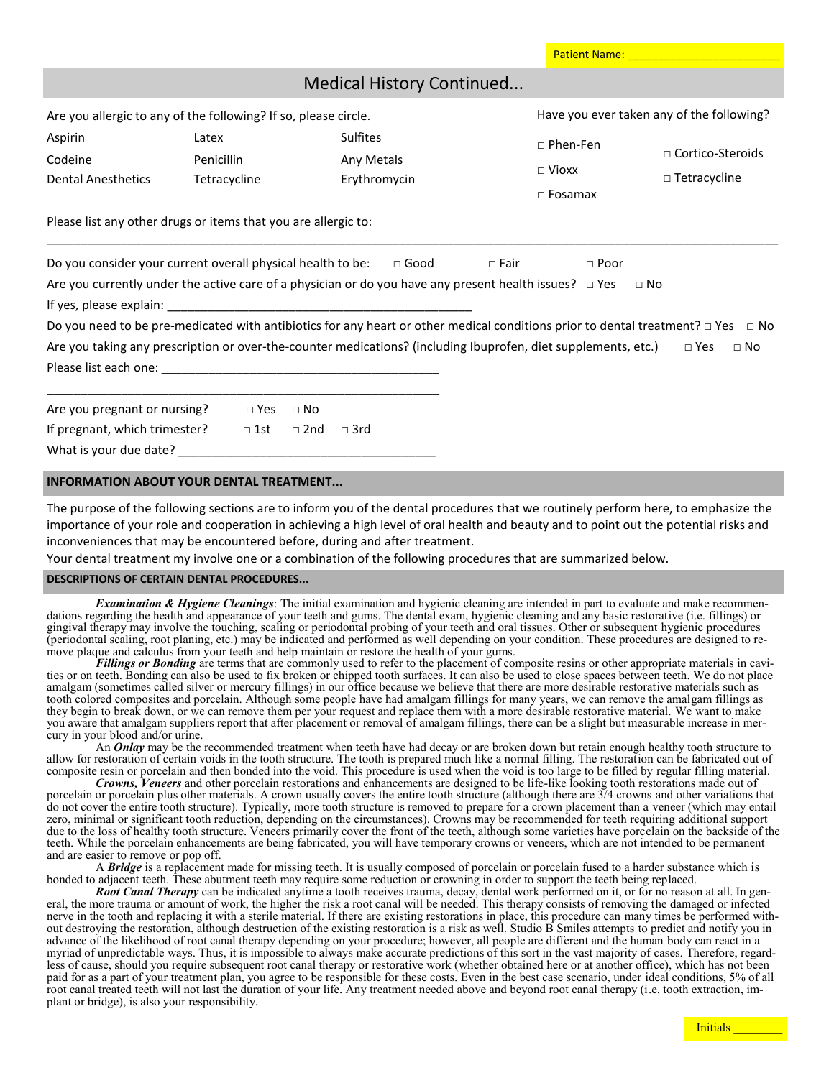|                                                                                                                                                                                                                                                                                                          |                                     |            | <b>Medical History Continued</b>              |             |                                              |                                                                                                                                                                                      |
|----------------------------------------------------------------------------------------------------------------------------------------------------------------------------------------------------------------------------------------------------------------------------------------------------------|-------------------------------------|------------|-----------------------------------------------|-------------|----------------------------------------------|--------------------------------------------------------------------------------------------------------------------------------------------------------------------------------------|
| Are you allergic to any of the following? If so, please circle.                                                                                                                                                                                                                                          |                                     |            |                                               |             |                                              | Have you ever taken any of the following?                                                                                                                                            |
| Aspirin<br>Codeine<br><b>Dental Anesthetics</b>                                                                                                                                                                                                                                                          | Latex<br>Penicillin<br>Tetracycline |            | <b>Sulfites</b><br>Any Metals<br>Erythromycin |             | □ Phen-Fen<br>$\Box$ Vioxx<br>$\Box$ Fosamax | □ Cortico-Steroids<br>$\Box$ Tetracycline                                                                                                                                            |
| Please list any other drugs or items that you are allergic to:                                                                                                                                                                                                                                           |                                     |            |                                               |             |                                              |                                                                                                                                                                                      |
| Do you consider your current overall physical health to be: $\Box$ Good<br>Are you currently under the active care of a physician or do you have any present health issues? $\Box$ Yes<br>Are you taking any prescription or over-the-counter medications? (including Ibuprofen, diet supplements, etc.) |                                     |            |                                               | $\Box$ Fair | $\Box$ Poor                                  | $\sqcap$ No<br>Do you need to be pre-medicated with antibiotics for any heart or other medical conditions prior to dental treatment? $\Box$ Yes $\Box$ No<br>$\Box$ Yes<br>$\Box$ No |
| Are you pregnant or nursing?                                                                                                                                                                                                                                                                             | $\Box$ Yes                          | $\Box$ No  |                                               |             |                                              |                                                                                                                                                                                      |
| If pregnant, which trimester?                                                                                                                                                                                                                                                                            | $\Box$ 1st                          | $\Box$ 2nd | $\Box$ 3rd                                    |             |                                              |                                                                                                                                                                                      |

What is your due date?

### **INFORMATION ABOUT YOUR DENTAL TREATMENT...**

The purpose of the following sections are to inform you of the dental procedures that we routinely perform here, to emphasize the importance of your role and cooperation in achieving a high level of oral health and beauty and to point out the potential risks and inconveniences that may be encountered before, during and after treatment.

Your dental treatment my involve one or a combination of the following procedures that are summarized below.

#### **DESCRIPTIONS OF CERTAIN DENTAL PROCEDURES...**

*Examination & Hygiene Cleanings*: The initial examination and hygienic cleaning are intended in part to evaluate and make recommendations regarding the health and appearance of your teeth and gums. The dental exam, hygienic cleaning and any basic restorative (i.e. fillings) or gingival therapy may involve the touching, scaling or periodontal probing of your teeth and oral tissues. Other or subsequent hygienic procedures (periodontal scaling, root planing, etc.) may be indicated and performed as well depending on your condition. These procedures are designed to remove plaque and calculus from your teeth and help maintain or restore the health of your gums.

*Fillings or Bonding* are terms that are commonly used to refer to the placement of composite resins or other appropriate materials in cavities or on teeth. Bonding can also be used to fix broken or chipped tooth surfaces. It can also be used to close spaces between teeth. We do not place amalgam (sometimes called silver or mercury fillings) in our office because we believe that there are more desirable restorative materials such as tooth colored composites and porcelain. Although some people have had amalgam fillings for many years, we can remove the amalgam fillings as they begin to break down, or we can remove them per your request and replace them with a more desirable restorative material. We want to make you aware that amalgam suppliers report that after placement or removal of amalgam fillings, there can be a slight but measurable increase in mercury in your blood and/or urine.

An *Onlay* may be the recommended treatment when teeth have had decay or are broken down but retain enough healthy tooth structure to allow for restoration of certain voids in the tooth structure. The tooth is prepared much like a normal filling. The restoration can be fabricated out of composite resin or porcelain and then bonded into the void. This procedure is used when the void is too large to be filled by regular filling material.

*Crowns, Veneers* and other porcelain restorations and enhancements are designed to be life-like looking tooth restorations made out of porcelain or porcelain plus other materials. A crown usually covers the entire tooth structure (although there are 3/4 crowns and other variations that do not cover the entire tooth structure). Typically, more tooth structure is removed to prepare for a crown placement than a veneer (which may entail zero, minimal or significant tooth reduction, depending on the circumstances). Crowns may be recommended for teeth requiring additional support due to the loss of healthy tooth structure. Veneers primarily cover the front of the teeth, although some varieties have porcelain on the backside of the teeth. While the porcelain enhancements are being fabricated, you will have temporary crowns or veneers, which are not intended to be permanent and are easier to remove or pop off.

A *Bridge* is a replacement made for missing teeth. It is usually composed of porcelain or porcelain fused to a harder substance which is bonded to adjacent teeth. These abutment teeth may require some reduction or crowning in order to support the teeth being replaced.

*Root Canal Therapy* can be indicated anytime a tooth receives trauma, decay, dental work performed on it, or for no reason at all. In general, the more trauma or amount of work, the higher the risk a root canal will be needed. This therapy consists of removing the damaged or infected nerve in the tooth and replacing it with a sterile material. If there are existing restorations in place, this procedure can many times be performed without destroying the restoration, although destruction of the existing restoration is a risk as well. Studio B Smiles attempts to predict and notify you in advance of the likelihood of root canal therapy depending on your procedure; however, all people are different and the human body can react in a myriad of unpredictable ways. Thus, it is impossible to always make accurate predictions of this sort in the vast majority of cases. Therefore, regardless of cause, should you require subsequent root canal therapy or restorative work (whether obtained here or at another office), which has not been paid for as a part of your treatment plan, you agree to be responsible for these costs. Even in the best case scenario, under ideal conditions, 5% of all root canal treated teeth will not last the duration of your life. Any treatment needed above and beyond root canal therapy (i.e. tooth extraction, implant or bridge), is also your responsibility.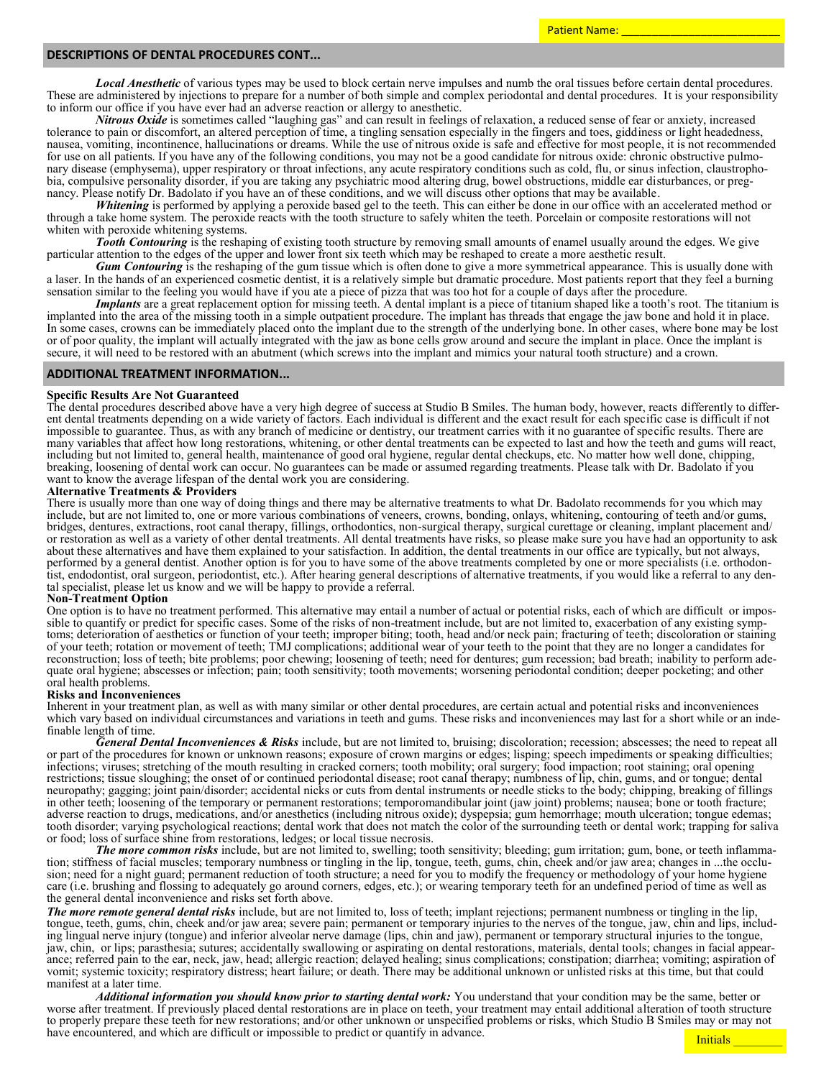Patient Name:

### **DESCRIPTIONS OF DENTAL PROCEDURES CONT...**

*Local Anesthetic* of various types may be used to block certain nerve impulses and numb the oral tissues before certain dental procedures. These are administered by injections to prepare for a number of both simple and complex periodontal and dental procedures. It is your responsibility to inform our office if you have ever had an adverse reaction or allergy to anesthetic.

*Nitrous Oxide* is sometimes called "laughing gas" and can result in feelings of relaxation, a reduced sense of fear or anxiety, increased tolerance to pain or discomfort, an altered perception of time, a tingling sensation especially in the fingers and toes, giddiness or light headedness, nausea, vomiting, incontinence, hallucinations or dreams. While the use of nitrous oxide is safe and effective for most people, it is not recommended for use on all patients. If you have any of the following conditions, you may not be a good candidate for nitrous oxide: chronic obstructive pulmonary disease (emphysema), upper respiratory or throat infections, any acute respiratory conditions such as cold, flu, or sinus infection, claustrophobia, compulsive personality disorder, if you are taking any psychiatric mood altering drug, bowel obstructions, middle ear disturbances, or pregnancy. Please notify Dr. Badolato if you have an of these conditions, and we will discuss other options that may be available.

*Whitening* is performed by applying a peroxide based gel to the teeth. This can either be done in our office with an accelerated method or through a take home system. The peroxide reacts with the tooth structure to safely whiten the teeth. Porcelain or composite restorations will not whiten with peroxide whitening systems.

*Tooth Contouring* is the reshaping of existing tooth structure by removing small amounts of enamel usually around the edges. We give particular attention to the edges of the upper and lower front six teeth which may be reshaped to create a more aesthetic result.

*Gum Contouring* is the reshaping of the gum tissue which is often done to give a more symmetrical appearance. This is usually done with a laser. In the hands of an experienced cosmetic dentist, it is a relatively simple but dramatic procedure. Most patients report that they feel a burning sensation similar to the feeling you would have if you ate a piece of pizza that was too hot for a couple of days after the procedure.

*Implants* are a great replacement option for missing teeth. A dental implant is a piece of titanium shaped like a tooth's root. The titanium is implanted into the area of the missing tooth in a simple outpatient procedure. The implant has threads that engage the jaw bone and hold it in place. In some cases, crowns can be immediately placed onto the implant due to the strength of the underlying bone. In other cases, where bone may be lost or of poor quality, the implant will actually integrated with the jaw as bone cells grow around and secure the implant in place. Once the implant is secure, it will need to be restored with an abutment (which screws into the implant and mimics your natural tooth structure) and a crown.

### **ADDITIONAL TREATMENT INFORMATION...**

#### **Specific Results Are Not Guaranteed**

The dental procedures described above have a very high degree of success at Studio B Smiles. The human body, however, reacts differently to different dental treatments depending on a wide variety of factors. Each individual is different and the exact result for each specific case is difficult if not impossible to guarantee. Thus, as with any branch of medicine or dentistry, our treatment carries with it no guarantee of specific results. There are many variables that affect how long restorations, whitening, or other dental treatments can be expected to last and how the teeth and gums will react, including but not limited to, general health, maintenance of good oral hygiene, regular dental checkups, etc. No matter how well done, chipping, breaking, loosening of dental work can occur. No guarantees can be made or assumed regarding treatments. Please talk with Dr. Badolato if you want to know the average lifespan of the dental work you are considering.

#### **Alternative Treatments & Providers**

There is usually more than one way of doing things and there may be alternative treatments to what Dr. Badolato recommends for you which may include, but are not limited to, one or more various combinations of veneers, crowns, bonding, onlays, whitening, contouring of teeth and/or gums, bridges, dentures, extractions, root canal therapy, fillings, orthodontics, non-surgical therapy, surgical curettage or cleaning, implant placement and/ or restoration as well as a variety of other dental treatments. All dental treatments have risks, so please make sure you have had an opportunity to ask about these alternatives and have them explained to your satisfaction. In addition, the dental treatments in our office are typically, but not always, performed by a general dentist. Another option is for you to have some of the above treatments completed by one or more specialists (i.e. orthodontist, endodontist, oral surgeon, periodontist, etc.). After hearing general descriptions of alternative treatments, if you would like a referral to any dental specialist, please let us know and we will be happy to provide a referral.

#### **Non-Treatment Option**

One option is to have no treatment performed. This alternative may entail a number of actual or potential risks, each of which are difficult or impossible to quantify or predict for specific cases. Some of the risks of non-treatment include, but are not limited to, exacerbation of any existing symptoms; deterioration of aesthetics or function of your teeth; improper biting; tooth, head and/or neck pain; fracturing of teeth; discoloration or staining of your teeth; rotation or movement of teeth; TMJ complications; additional wear of your teeth to the point that they are no longer a candidates for reconstruction; loss of teeth; bite problems; poor chewing; loosening of teeth; need for dentures; gum recession; bad breath; inability to perform adequate oral hygiene; abscesses or infection; pain; tooth sensitivity; tooth movements; worsening periodontal condition; deeper pocketing; and other oral health problems.

### **Risks and Inconveniences**

Inherent in your treatment plan, as well as with many similar or other dental procedures, are certain actual and potential risks and inconveniences which vary based on individual circumstances and variations in teeth and gums. These risks and inconveniences may last for a short while or an indefinable length of time.

*General Dental Inconveniences & Risks* include, but are not limited to, bruising; discoloration; recession; abscesses; the need to repeat all or part of the procedures for known or unknown reasons; exposure of crown margins or edges; lisping; speech impediments or speaking difficulties; infections; viruses; stretching of the mouth resulting in cracked corners; tooth mobility; oral surgery; food impaction; root staining; oral opening restrictions; tissue sloughing; the onset of or continued periodontal disease; root canal therapy; numbness of lip, chin, gums, and or tongue; dental neuropathy; gagging; joint pain/disorder; accidental nicks or cuts from dental instruments or needle sticks to the body; chipping, breaking of fillings in other teeth; loosening of the temporary or permanent restorations; temporomandibular joint (jaw joint) problems; nausea; bone or tooth fracture; adverse reaction to drugs, medications, and/or anesthetics (including nitrous oxide); dyspepsia; gum hemorrhage; mouth ulceration; tongue edemas; tooth disorder; varying psychological reactions; dental work that does not match the color of the surrounding teeth or dental work; trapping for saliva or food; loss of surface shine from restorations, ledges; or local tissue necrosis.

*The more common risks* include, but are not limited to, swelling; tooth sensitivity; bleeding; gum irritation; gum, bone, or teeth inflammation; stiffness of facial muscles; temporary numbness or tingling in the lip, tongue, teeth, gums, chin, cheek and/or jaw area; changes in ...the occlusion; need for a night guard; permanent reduction of tooth structure; a need for you to modify the frequency or methodology of your home hygiene care (i.e. brushing and flossing to adequately go around corners, edges, etc.); or wearing temporary teeth for an undefined period of time as well as the general dental inconvenience and risks set forth above.

*The more remote general dental risks* include, but are not limited to, loss of teeth; implant rejections; permanent numbness or tingling in the lip, tongue, teeth, gums, chin, cheek and/or jaw area; severe pain; permanent or temporary injuries to the nerves of the tongue, jaw, chin and lips, including lingual nerve injury (tongue) and inferior alveolar nerve damage (lips, chin and jaw), permanent or temporary structural injuries to the tongue, jaw, chin, or lips; parasthesia; sutures; accidentally swallowing or aspirating on dental restorations, materials, dental tools; changes in facial appearance; referred pain to the ear, neck, jaw, head; allergic reaction; delayed healing; sinus complications; constipation; diarrhea; vomiting; aspiration of vomit; systemic toxicity; respiratory distress; heart failure; or death. There may be additional unknown or unlisted risks at this time, but that could manifest at a later time.

*Additional information you should know prior to starting dental work:* You understand that your condition may be the same, better or worse after treatment. If previously placed dental restorations are in place on teeth, your treatment may entail additional alteration of tooth structure to properly prepare these teeth for new restorations; and/or other unknown or unspecified problems or risks, which Studio B Smiles may or may not have encountered, and which are difficult or impossible to predict or quantify in advance.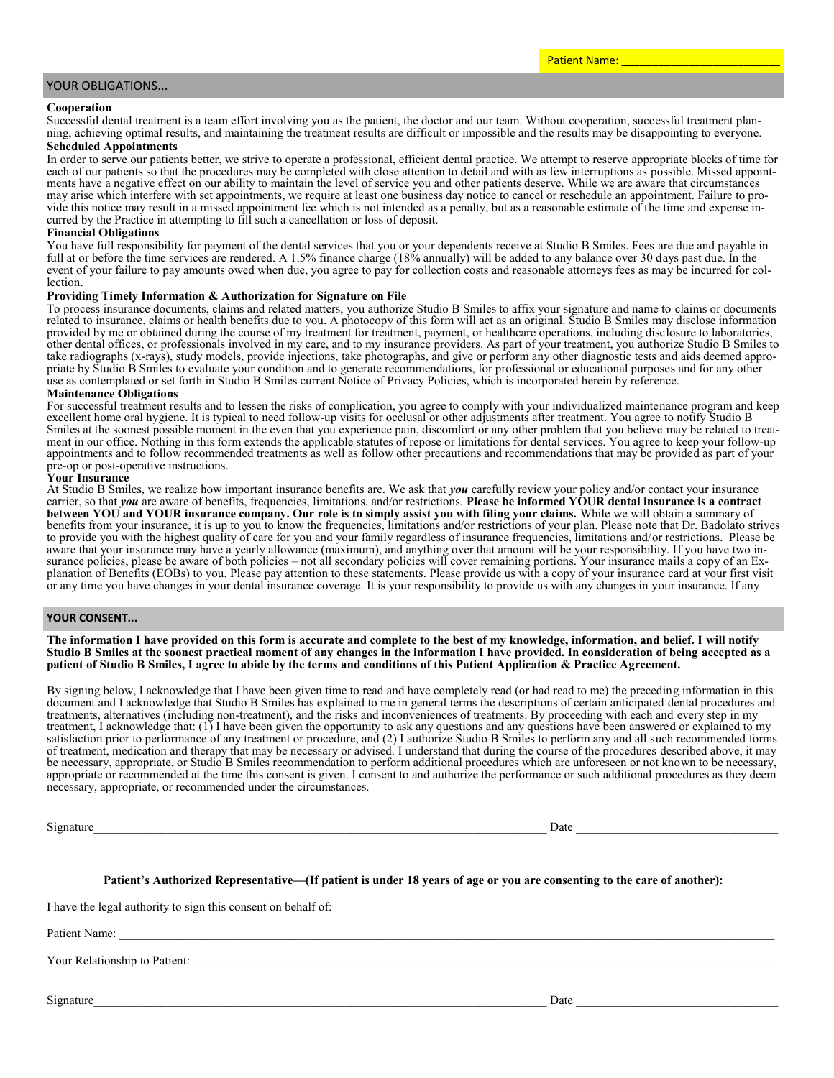### YOUR OBLIGATIONS...

#### **Cooperation**

Successful dental treatment is a team effort involving you as the patient, the doctor and our team. Without cooperation, successful treatment planning, achieving optimal results, and maintaining the treatment results are difficult or impossible and the results may be disappointing to everyone.

### **Scheduled Appointments**

In order to serve our patients better, we strive to operate a professional, efficient dental practice. We attempt to reserve appropriate blocks of time for each of our patients so that the procedures may be completed with close attention to detail and with as few interruptions as possible. Missed appointments have a negative effect on our ability to maintain the level of service you and other patients deserve. While we are aware that circumstances may arise which interfere with set appointments, we require at least one business day notice to cancel or reschedule an appointment. Failure to provide this notice may result in a missed appointment fee which is not intended as a penalty, but as a reasonable estimate of the time and expense incurred by the Practice in attempting to fill such a cancellation or loss of deposit.

#### **Financial Obligations**

You have full responsibility for payment of the dental services that you or your dependents receive at Studio B Smiles. Fees are due and payable in full at or before the time services are rendered. A 1.5% finance charge (18% annually) will be added to any balance over 30 days past due. In the event of your failure to pay amounts owed when due, you agree to pay for collection costs and reasonable attorneys fees as may be incurred for collection.

### **Providing Timely Information & Authorization for Signature on File**

To process insurance documents, claims and related matters, you authorize Studio B Smiles to affix your signature and name to claims or documents related to insurance, claims or health benefits due to you. A photocopy of this form will act as an original. Studio B Smiles may disclose information provided by me or obtained during the course of my treatment for treatment, payment, or healthcare operations, including disclosure to laboratories, other dental offices, or professionals involved in my care, and to my insurance providers. As part of your treatment, you authorize Studio B Smiles to take radiographs (x-rays), study models, provide injections, take photographs, and give or perform any other diagnostic tests and aids deemed appropriate by Studio B Smiles to evaluate your condition and to generate recommendations, for professional or educational purposes and for any other use as contemplated or set forth in Studio B Smiles current Notice of Privacy Policies, which is incorporated herein by reference.

### **Maintenance Obligations**

For successful treatment results and to lessen the risks of complication, you agree to comply with your individualized maintenance program and keep excellent home oral hygiene. It is typical to need follow-up visits for occlusal or other adjustments after treatment. You agree to notify Studio B Smiles at the soonest possible moment in the even that you experience pain, discomfort or any other problem that you believe may be related to treatment in our office. Nothing in this form extends the applicable statutes of repose or limitations for dental services. You agree to keep your follow-up appointments and to follow recommended treatments as well as follow other precautions and recommendations that may be provided as part of your pre-op or post-operative instructions.

#### **Your Insurance**

At Studio B Smiles, we realize how important insurance benefits are. We ask that *you* carefully review your policy and/or contact your insurance carrier, so that *you* are aware of benefits, frequencies, limitations, and/or restrictions. **Please be informed YOUR dental insurance is a contract between YOU and YOUR insurance company. Our role is to simply assist you with filing your claims.** While we will obtain a summary of benefits from your insurance, it is up to you to know the frequencies, limitations and/or restrictions of your plan. Please note that Dr. Badolato strives to provide you with the highest quality of care for you and your family regardless of insurance frequencies, limitations and/or restrictions. Please be aware that your insurance may have a yearly allowance (maximum), and anything over that amount will be your responsibility. If you have two insurance policies, please be aware of both policies – not all secondary policies will cover remaining portions. Your insurance mails a copy of an Explanation of Benefits (EOBs) to you. Please pay attention to these statements. Please provide us with a copy of your insurance card at your first visit or any time you have changes in your dental insurance coverage. It is your responsibility to provide us with any changes in your insurance. If any

### **YOUR CONSENT...**

**The information I have provided on this form is accurate and complete to the best of my knowledge, information, and belief. I will notify Studio B Smiles at the soonest practical moment of any changes in the information I have provided. In consideration of being accepted as a patient of Studio B Smiles, I agree to abide by the terms and conditions of this Patient Application & Practice Agreement.** 

By signing below, I acknowledge that I have been given time to read and have completely read (or had read to me) the preceding information in this document and I acknowledge that Studio B Smiles has explained to me in general terms the descriptions of certain anticipated dental procedures and treatments, alternatives (including non-treatment), and the risks and inconveniences of treatments. By proceeding with each and every step in my treatment, I acknowledge that: (1) I have been given the opportunity to ask any questions and any questions have been answered or explained to my satisfaction prior to performance of any treatment or procedure, and (2) I authorize Studio B Smiles to perform any and all such recommended forms of treatment, medication and therapy that may be necessary or advised. I understand that during the course of the procedures described above, it may be necessary, appropriate, or Studio B Smiles recommendation to perform additional procedures which are unforeseen or not known to be necessary, appropriate or recommended at the time this consent is given. I consent to and authorize the performance or such additional procedures as they deem necessary, appropriate, or recommended under the circumstances.

Signature\_\_\_\_\_\_\_\_\_\_\_\_\_\_\_\_\_\_\_\_\_\_\_\_\_\_\_\_\_\_\_\_\_\_\_\_\_\_\_\_\_\_\_\_\_\_\_\_\_\_\_\_\_\_\_\_\_\_\_\_\_\_\_\_\_\_\_\_\_\_\_\_\_\_ Date \_\_\_\_\_\_\_\_\_\_\_\_\_\_\_\_\_\_\_\_\_\_\_\_\_\_\_\_\_\_\_\_\_

### **Patient's Authorized Representative—(If patient is under 18 years of age or you are consenting to the care of another):**

I have the legal authority to sign this consent on behalf of:

Patient Name:

Your Relationship to Patient:

Signature\_\_\_\_\_\_\_\_\_\_\_\_\_\_\_\_\_\_\_\_\_\_\_\_\_\_\_\_\_\_\_\_\_\_\_\_\_\_\_\_\_\_\_\_\_\_\_\_\_\_\_\_\_\_\_\_\_\_\_\_\_\_\_\_\_\_\_\_\_\_\_\_\_\_ Date \_\_\_\_\_\_\_\_\_\_\_\_\_\_\_\_\_\_\_\_\_\_\_\_\_\_\_\_\_\_\_\_\_